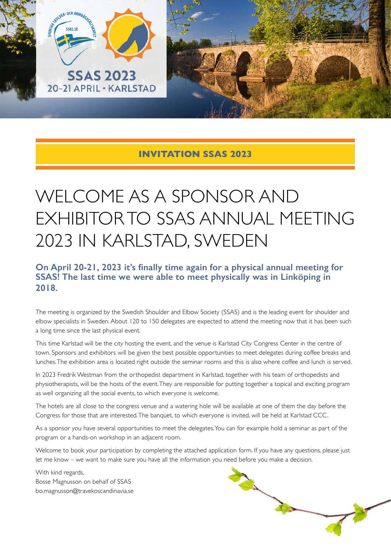



## **INVITATION SSAS 2023**

# WELCOME AS A SPONSOR AND EXHIBITOR TO SSAS ANNUAL MEETING 2023 IN KARLSTAD, SWEDEN

## **On April 20-21, 2023 it's finally time again for a physical annual meeting for SSAS! The last time we were able to meet physically was in Linköping in 2018.**

The meeting is organized by the Swedish Shoulder and Elbow Society (SSAS) and is the leading event for shoulder and elbow specialists in Sweden. About 120 to 150 delegates are expected to attend the meeting now that it has been such a long time since the last physical event.

This time Karlstad will be the city hosting the event, and the venue is Karlstad City Congress Center in the centre of town. Sponsors and exhibitors will be given the best possible opportunities to meet delegates during coffee breaks and lunches. The exhibition area is located right outside the seminar rooms and this is also where coffee and lunch is served.

In 2023 Fredrik Westman from the orthopedist department in Karlstad, together with his team of orthopedists and physiotherapists, will be the hosts of the event. They are responsible for putting together a topical and exciting program as well organizing all the social events, to which everyone is welcome.

The hotels are all close to the congress venue and a watering hole will be available at one of them the day before the Congress for those that are interested. The banquet, to which everyone is invited, will be held at Karlstad CCC.

As a sponsor you have several opportunities to meet the delegates. You can for example hold a seminar as part of the program or a hands-on workshop in an adjacent room.

Welcome to book your participation by completing the attached application form. If you have any questions, please just let me know – we want to make sure you have all the information you need before you make a decision.

With kind regards, Bosse Magnusson on behalf of SSAS bo.magnusson@travekoscandinavia.se